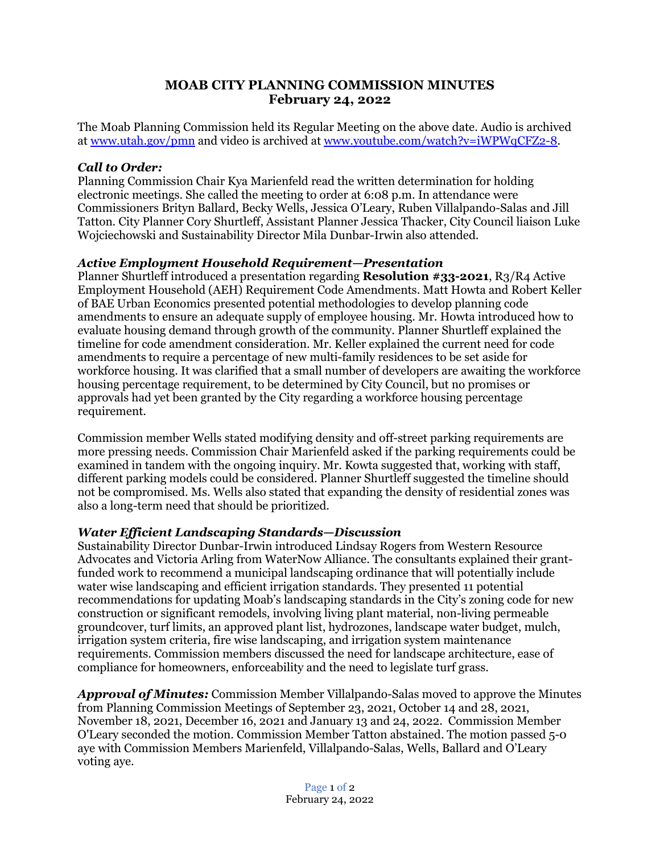## **MOAB CITY PLANNING COMMISSION MINUTES February 24, 2022**

The Moab Planning Commission held its Regular Meeting on the above date. Audio is archived at www.utah.gov/pmn and video is archived at [www.youtube.com/watch?v=iWPWqCFZ2-8.](http://www.youtube.com/watch?v=iWPWqCFZ2-8)

## *Call to Order:*

Planning Commission Chair Kya Marienfeld read the written determination for holding electronic meetings. She called the meeting to order at 6:08 p.m. In attendance were Commissioners Brityn Ballard, Becky Wells, Jessica O'Leary, Ruben Villalpando-Salas and Jill Tatton. City Planner Cory Shurtleff, Assistant Planner Jessica Thacker, City Council liaison Luke Wojciechowski and Sustainability Director Mila Dunbar-Irwin also attended.

## *Active Employment Household Requirement—Presentation*

Planner Shurtleff introduced a presentation regarding **Resolution #33-2021**, R3/R4 Active Employment Household (AEH) Requirement Code Amendments. Matt Howta and Robert Keller of BAE Urban Economics presented potential methodologies to develop planning code amendments to ensure an adequate supply of employee housing. Mr. Howta introduced how to evaluate housing demand through growth of the community. Planner Shurtleff explained the timeline for code amendment consideration. Mr. Keller explained the current need for code amendments to require a percentage of new multi-family residences to be set aside for workforce housing. It was clarified that a small number of developers are awaiting the workforce housing percentage requirement, to be determined by City Council, but no promises or approvals had yet been granted by the City regarding a workforce housing percentage requirement.

Commission member Wells stated modifying density and off-street parking requirements are more pressing needs. Commission Chair Marienfeld asked if the parking requirements could be examined in tandem with the ongoing inquiry. Mr. Kowta suggested that, working with staff, different parking models could be considered. Planner Shurtleff suggested the timeline should not be compromised. Ms. Wells also stated that expanding the density of residential zones was also a long-term need that should be prioritized.

## *Water Efficient Landscaping Standards—Discussion*

Sustainability Director Dunbar-Irwin introduced Lindsay Rogers from Western Resource Advocates and Victoria Arling from WaterNow Alliance. The consultants explained their grantfunded work to recommend a municipal landscaping ordinance that will potentially include water wise landscaping and efficient irrigation standards. They presented 11 potential recommendations for updating Moab's landscaping standards in the City's zoning code for new construction or significant remodels, involving living plant material, non-living permeable groundcover, turf limits, an approved plant list, hydrozones, landscape water budget, mulch, irrigation system criteria, fire wise landscaping, and irrigation system maintenance requirements. Commission members discussed the need for landscape architecture, ease of compliance for homeowners, enforceability and the need to legislate turf grass.

*Approval of Minutes:* Commission Member Villalpando-Salas moved to approve the Minutes from Planning Commission Meetings of September 23, 2021, October 14 and 28, 2021, November 18, 2021, December 16, 2021 and January 13 and 24, 2022. Commission Member O'Leary seconded the motion. Commission Member Tatton abstained. The motion passed 5-0 aye with Commission Members Marienfeld, Villalpando-Salas, Wells, Ballard and O'Leary voting aye.